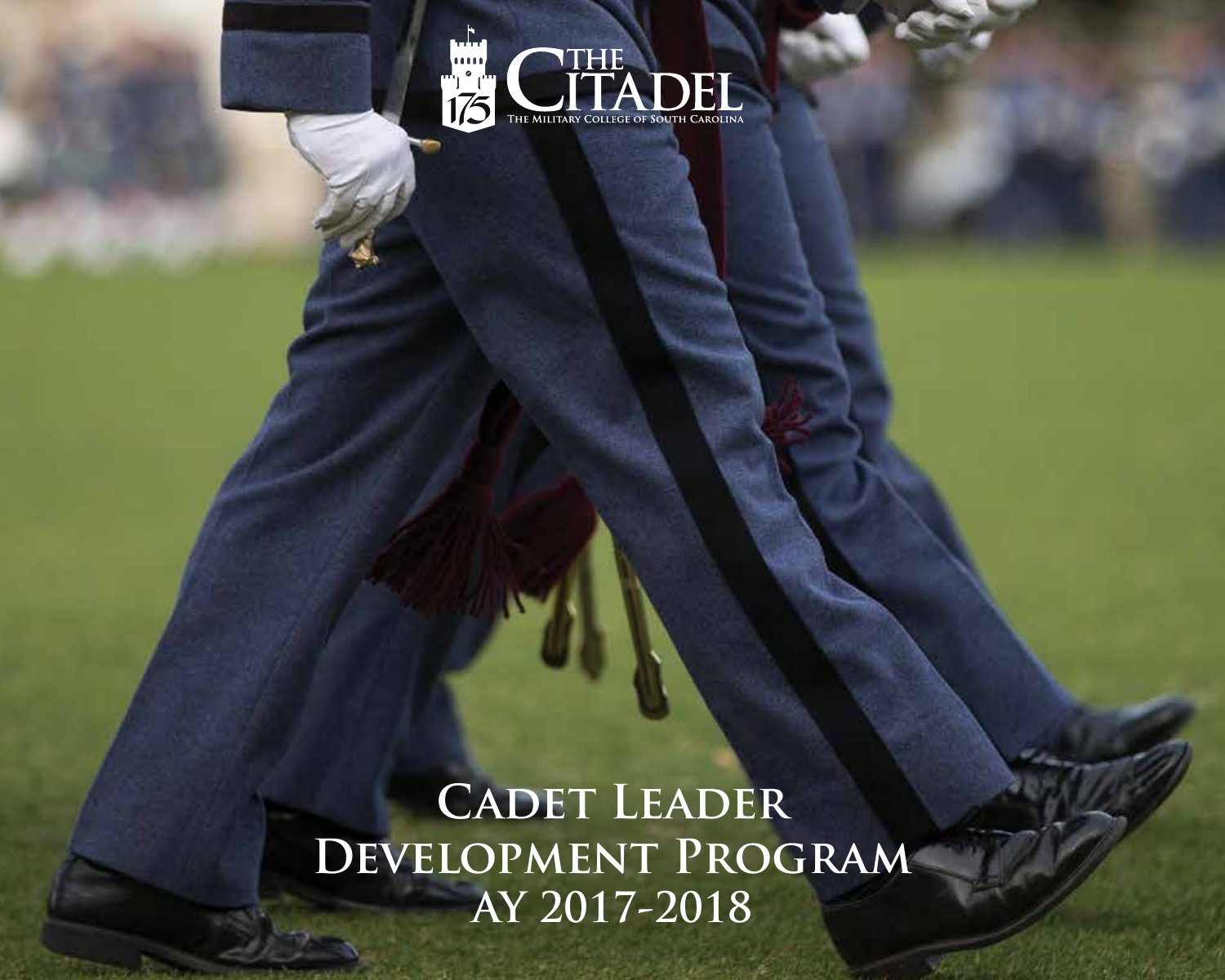

# **Cadet Leader Development Program AY 2017-2018**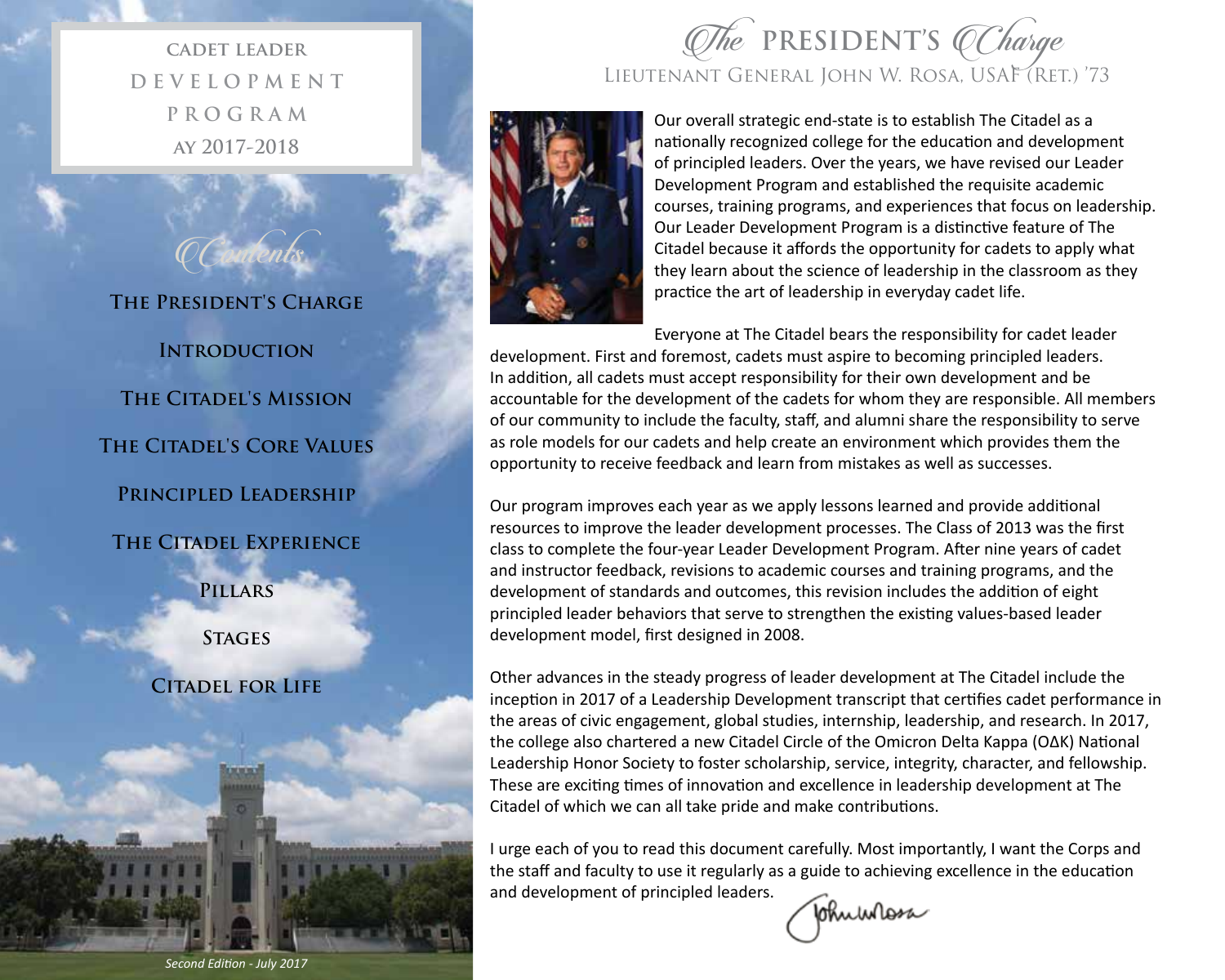**cadet leader D E V E L O P M E N T P R O G R A M ay 2017-2018**

**The President's Charge**

**Contents** 

**Introduction**

**The Citadel's Mission**

**The Citadel's Core Values**

**Principled Leadership**

**The Citadel Experience**

**Pillars**

**Stages**

**Citadel for Life**





Our overall strategic end‐state is to establish The Citadel as a nationally recognized college for the education and development of principled leaders. Over the years, we have revised our Leader Development Program and established the requisite academic courses, training programs, and experiences that focus on leadership. Our Leader Development Program is a distinctive feature of The Citadel because it affords the opportunity for cadets to apply what they learn about the science of leadership in the classroom as they practice the art of leadership in everyday cadet life.

Everyone at The Citadel bears the responsibility for cadet leader

development. First and foremost, cadets must aspire to becoming principled leaders. In addition, all cadets must accept responsibility for their own development and be accountable for the development of the cadets for whom they are responsible. All members of our community to include the faculty, staff, and alumni share the responsibility to serve as role models for our cadets and help create an environment which provides them the opportunity to receive feedback and learn from mistakes as well as successes.

Our program improves each year as we apply lessons learned and provide additional resources to improve the leader development processes. The Class of 2013 was the first class to complete the four‐year Leader Development Program. After nine years of cadet and instructor feedback, revisions to academic courses and training programs, and the development of standards and outcomes, this revision includes the addition of eight principled leader behaviors that serve to strengthen the existing values-based leader development model, first designed in 2008.

Other advances in the steady progress of leader development at The Citadel include the inception in 2017 of a Leadership Development transcript that certifies cadet performance in the areas of civic engagement, global studies, internship, leadership, and research. In 2017, the college also chartered a new Citadel Circle of the Omicron Delta Kappa (OΔK) National Leadership Honor Society to foster scholarship, service, integrity, character, and fellowship. These are exciting times of innovation and excellence in leadership development at The Citadel of which we can all take pride and make contributions.

I urge each of you to read this document carefully. Most importantly, I want the Corps and the staff and faculty to use it regularly as a guide to achieving excellence in the education and development of principled leaders.

Johnwhess

*Second Edition - July 2017*

**2**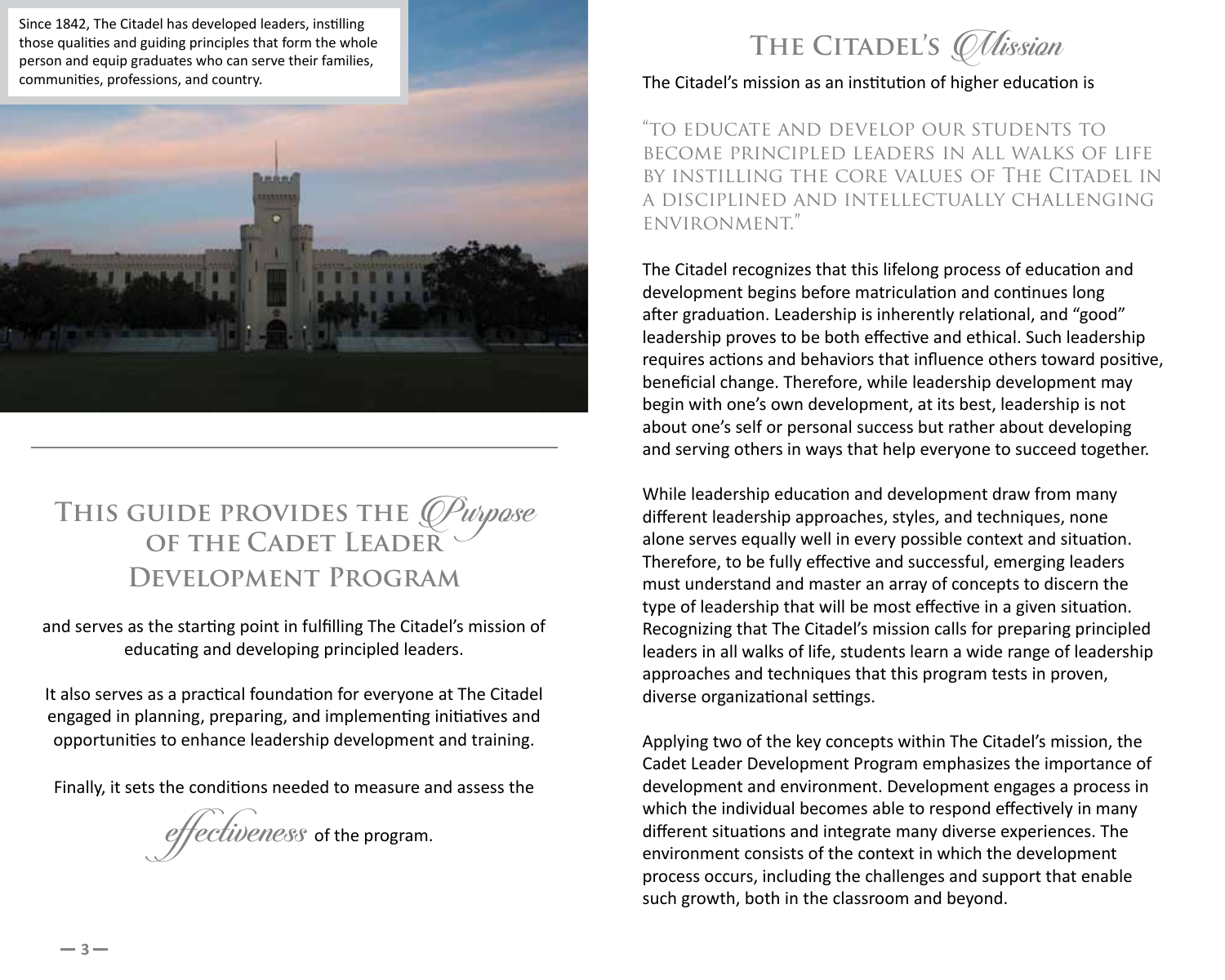



# THIS GUIDE PROVIDES THE *Quipose* **OF THE CADET LEADER Development Program**

and serves as the starting point in fulfilling The Citadel's mission of educating and developing principled leaders.

It also serves as a practical foundation for everyone at The Citadel engaged in planning, preparing, and implementing initiatives and opportunities to enhance leadership development and training.

Finally, it sets the conditions needed to measure and assess the

 $two$   $n$   $\epsilon$ s of the program.

THE CITADEL'S *Mission* 

The Citadel's mission as an institution of higher education is

"to educate and develop our students to become principled leaders in all walks of life by instilling the core values of The Citadel in a disciplined and intellectually challenging environment."

The Citadel recognizes that this lifelong process of education and development begins before matriculation and continues long after graduation. Leadership is inherently relational, and "good" leadership proves to be both effective and ethical. Such leadership requires actions and behaviors that influence others toward positive, beneficial change. Therefore, while leadership development may begin with one's own development, at its best, leadership is not about one's self or personal success but rather about developing and serving others in ways that help everyone to succeed together.

While leadership education and development draw from many different leadership approaches, styles, and techniques, none alone serves equally well in every possible context and situation. Therefore, to be fully effective and successful, emerging leaders must understand and master an array of concepts to discern the type of leadership that will be most effective in a given situation. Recognizing that The Citadel's mission calls for preparing principled leaders in all walks of life, students learn a wide range of leadership approaches and techniques that this program tests in proven, diverse organizational settings.

Applying two of the key concepts within The Citadel's mission, the Cadet Leader Development Program emphasizes the importance of development and environment. Development engages a process in which the individual becomes able to respond effectively in many different situations and integrate many diverse experiences. The environment consists of the context in which the development process occurs, including the challenges and support that enable such growth, both in the classroom and beyond.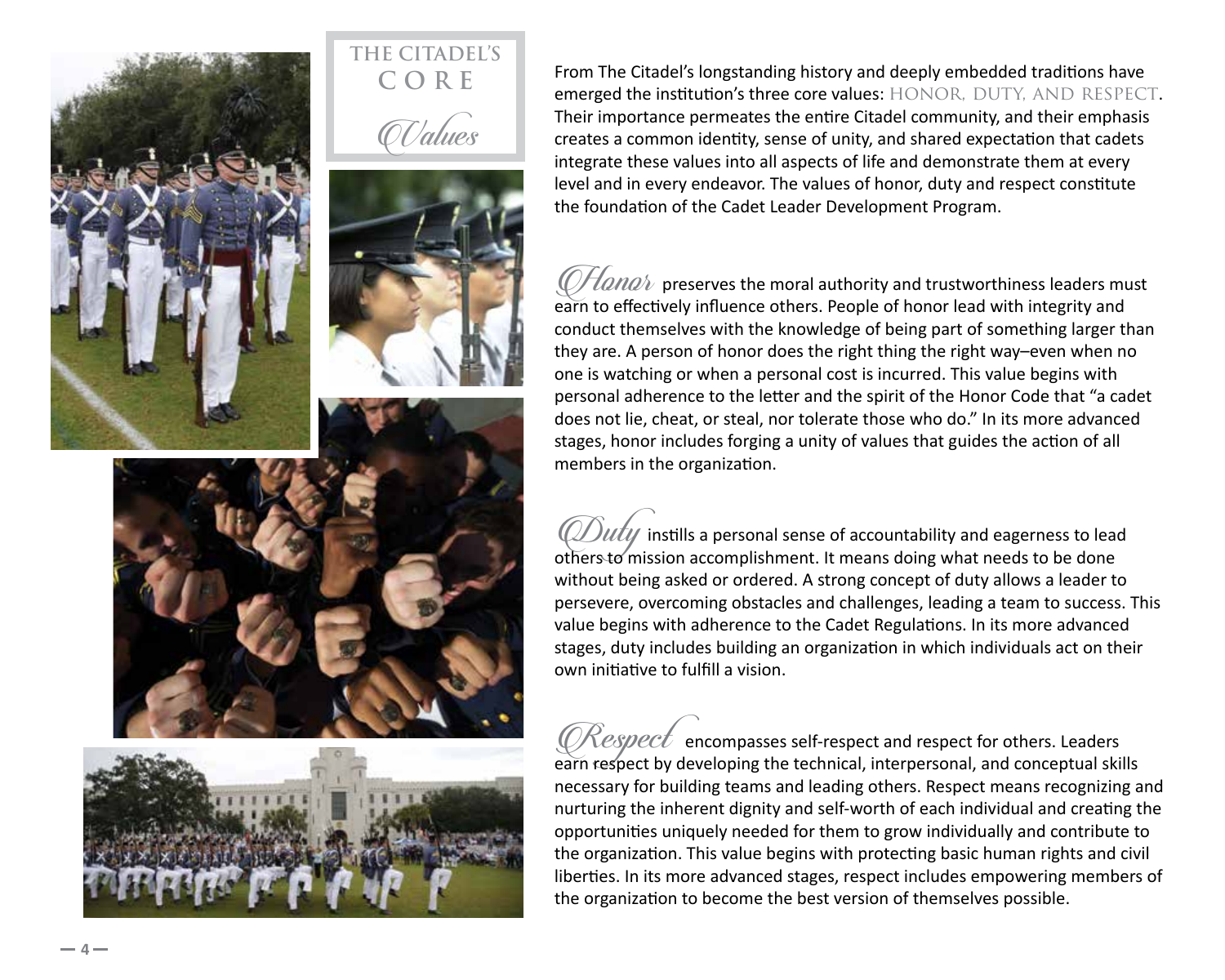

From The Citadel's longstanding history and deeply embedded traditions have emerged the institution's three core values: HONOR, DUTY, AND RESPECT. Their importance permeates the entire Citadel community, and their emphasis creates a common identity, sense of unity, and shared expectation that cadets integrate these values into all aspects of life and demonstrate them at every level and in every endeavor. The values of honor, duty and respect constitute the foundation of the Cadet Leader Development Program.

 $\mathcal O$ Hana $\ell$  preserves the moral authority and trustworthiness leaders must earn to effectively influence others. People of honor lead with integrity and conduct themselves with the knowledge of being part of something larger than they are. A person of honor does the right thing the right way–even when no one is watching or when a personal cost is incurred. This value begins with personal adherence to the letter and the spirit of the Honor Code that "a cadet does not lie, cheat, or steal, nor tolerate those who do." In its more advanced stages, honor includes forging a unity of values that guides the action of all members in the organization.

 $\hat{U}$  instills a personal sense of accountability and eagerness to lead others to mission accomplishment. It means doing what needs to be done without being asked or ordered. A strong concept of duty allows a leader to persevere, overcoming obstacles and challenges, leading a team to success. This value begins with adherence to the Cadet Regulations. In its more advanced stages, duty includes building an organization in which individuals act on their own initiative to fulfill a vision.

 $\mathcal{K}espect$  encompasses self-respect and respect for others. Leaders earn respect by developing the technical, interpersonal, and conceptual skills necessary for building teams and leading others. Respect means recognizing and nurturing the inherent dignity and self-worth of each individual and creating the opportunities uniquely needed for them to grow individually and contribute to the organization. This value begins with protecting basic human rights and civil liberties. In its more advanced stages, respect includes empowering members of the organization to become the best version of themselves possible.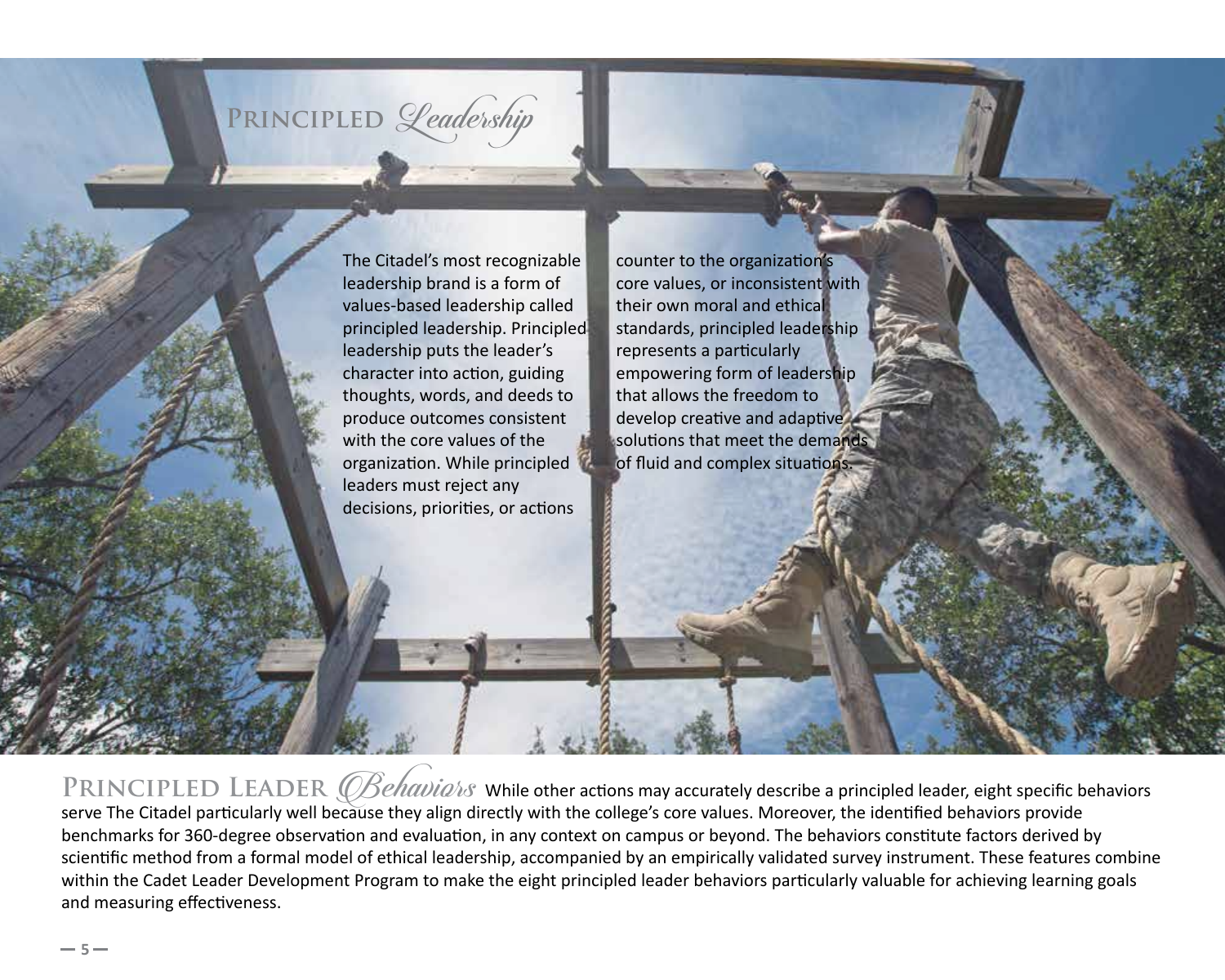### PRINCIPLED *Leadership*

The Citadel's most recognizable leadership brand is a form of values-based leadership called principled leadership. Principled leadership puts the leader's character into action, guiding thoughts, words, and deeds to produce outcomes consistent with the core values of the organization. While principled leaders must reject any decisions, priorities, or actions

counter to the organization's core values, or inconsistent with their own moral and ethical standards, principled leadership represents a particularly empowering form of leadership that allows the freedom to develop creative and adaptive solutions that meet the demands of fluid and complex situations.

PRINCIPLED LEADER *(OBehavia/is* While other actions may accurately describe a principled leader, eight specific behaviors serve The Citadel particularly well because they align directly with the college's core values. Moreover, the identified behaviors provide benchmarks for 360-degree observation and evaluation, in any context on campus or beyond. The behaviors constitute factors derived by scientific method from a formal model of ethical leadership, accompanied by an empirically validated survey instrument. These features combine within the Cadet Leader Development Program to make the eight principled leader behaviors particularly valuable for achieving learning goals and measuring effectiveness.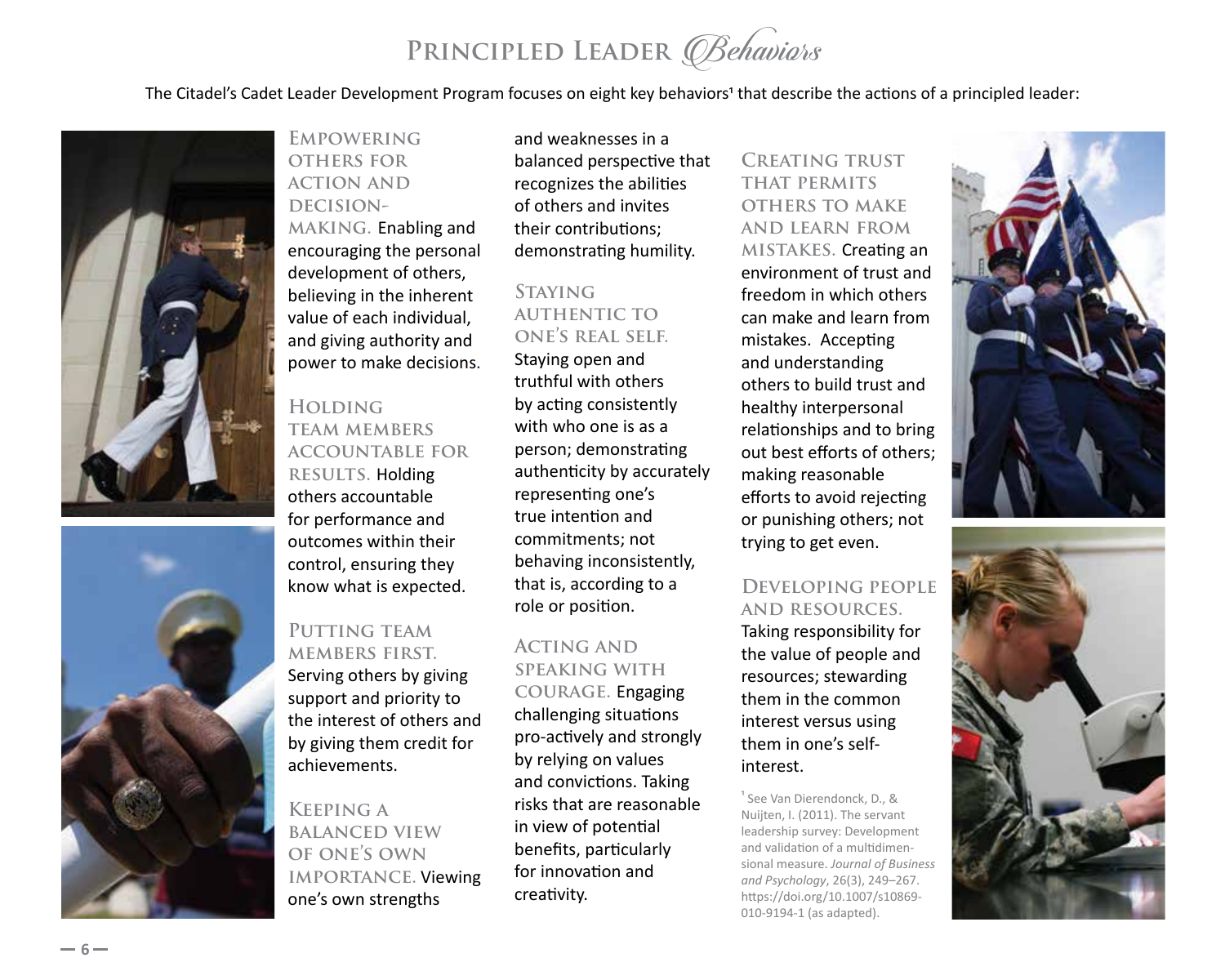### PRINCIPLED LEADER *Behaviors*

The Citadel's Cadet Leader Development Program focuses on eight key behaviors<sup>1</sup> that describe the actions of a principled leader:





**Empowering others for action and**  DECISION**making.** Enabling and encouraging the personal development of others, believing in the inherent value of each individual, and giving authority and power to make decisions.

#### **Holding team members accountable for RESULTS. Holding** others accountable for performance and outcomes within their control, ensuring they

know what is expected.

#### PUTTING TEAM **members first.**

Serving others by giving support and priority to the interest of others and by giving them credit for achievements.

**Keeping a balanced view of one's own importance.** Viewing one's own strengths

and weaknesses in a balanced perspective that recognizes the abilities of others and invites their contributions; demonstrating humility.

#### **Staying authentic to one's real self.**

Staying open and truthful with others by acting consistently with who one is as a person; demonstrating authenticity by accurately representing one's true intention and commitments; not behaving inconsistently, that is, according to a role or position.

### **Acting and speaking with**

**courage.** Engaging challenging situations pro-actively and strongly by relying on values and convictions. Taking risks that are reasonable in view of potential benefits, particularly for innovation and creativity.

**Creating trust that permits others to make and learn from mistakes.** Creating an environment of trust and freedom in which others can make and learn from mistakes. Accepting and understanding others to build trust and healthy interpersonal relationships and to bring out best efforts of others; making reasonable efforts to avoid rejecting or punishing others; not trying to get even.

#### **Developing people and resources.**

Taking responsibility for the value of people and resources; stewarding them in the common interest versus using them in one's selfinterest.

1 See Van Dierendonck, D., & Nuijten, I. (2011). The servant leadership survey: Development and validation of a multidimen‐ sional measure. *Journal of Business and Psychology*, 26(3), 249–267. https://doi.org/10.1007/s10869-010-9194-1 (as adapted).



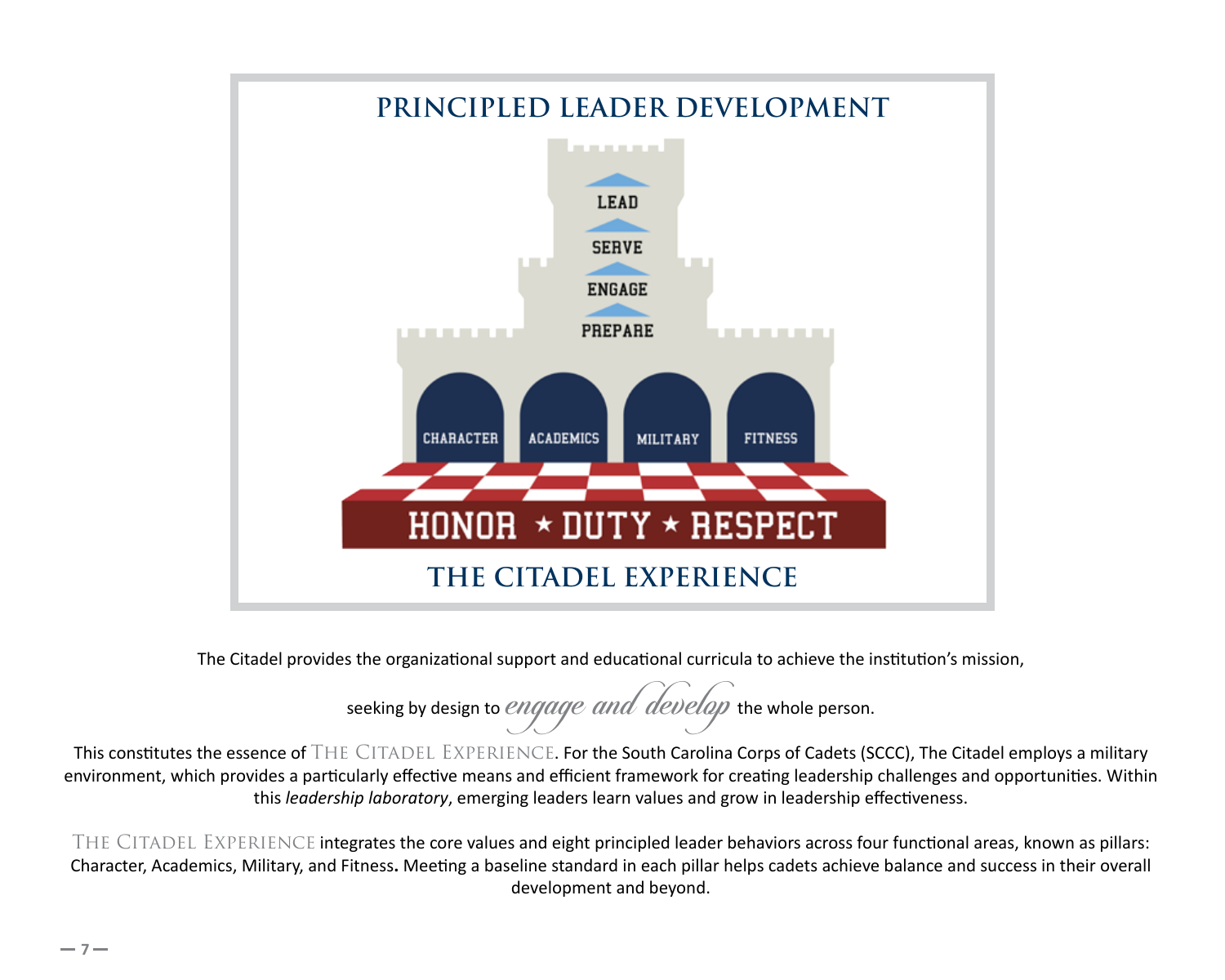

The Citadel provides the organizational support and educational curricula to achieve the institution's mission,

seeking by design to *engage and develop* the whole person.

This constitutes the essence of THE CITADEL EXPERIENCE. For the South Carolina Corps of Cadets (SCCC), The Citadel employs a military environment, which provides a particularly effective means and efficient framework for creating leadership challenges and opportunities. Within this *leadership laboratory*, emerging leaders learn values and grow in leadership effectiveness.

THE CITADEL EXPERIENCE integrates the core values and eight principled leader behaviors across four functional areas, known as pillars: Character, Academics, Military, and Fitness**.** Meeting a baseline standard in each pillar helps cadets achieve balance and success in their overall development and beyond.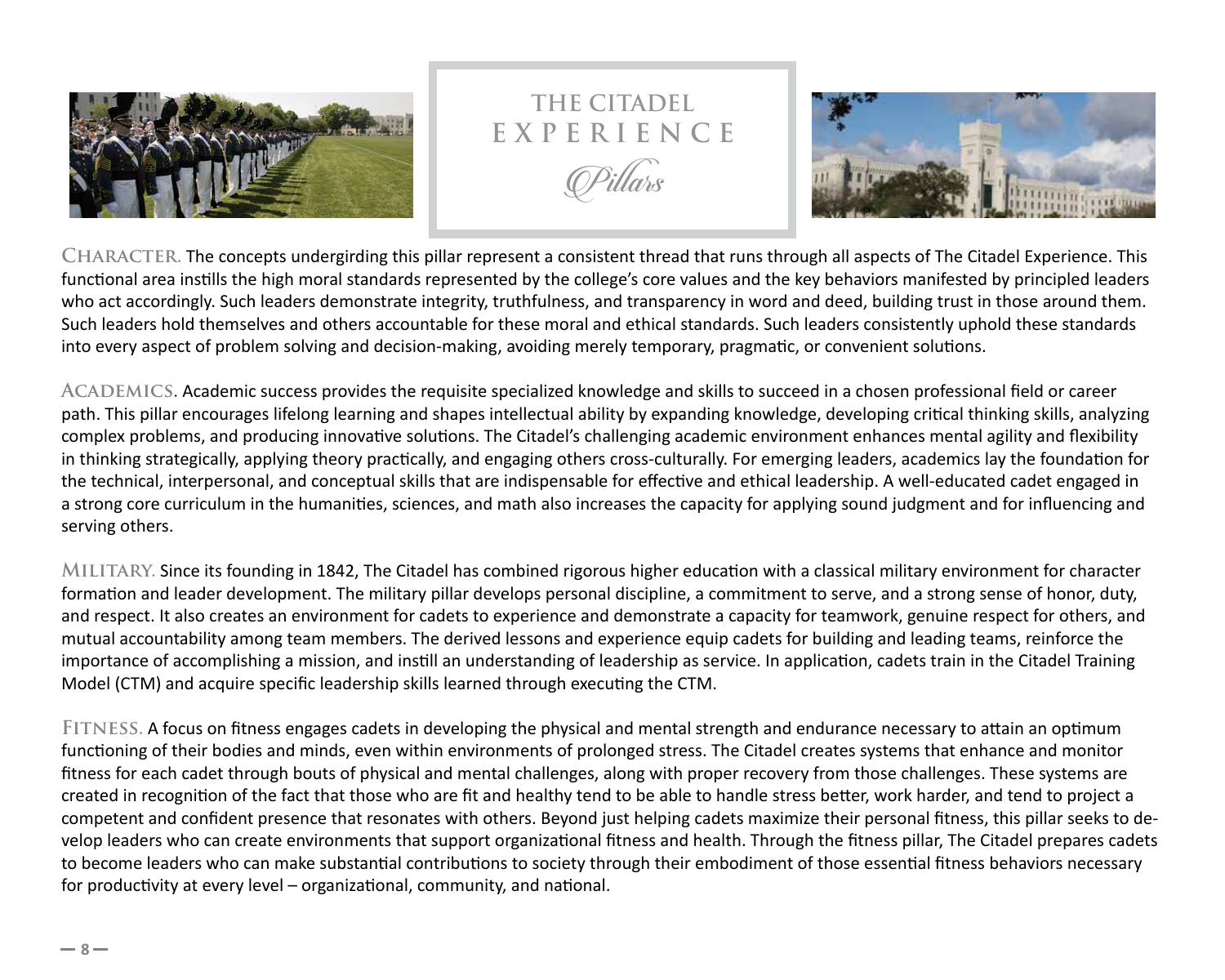

### **THE CITADEL E X P E R I E N C E** Pillars



**Character.** The concepts undergirding this pillar represent a consistent thread that runs through all aspects of The Citadel Experience. This functional area instills the high moral standards represented by the college's core values and the key behaviors manifested by principled leaders who act accordingly. Such leaders demonstrate integrity, truthfulness, and transparency in word and deed, building trust in those around them. Such leaders hold themselves and others accountable for these moral and ethical standards. Such leaders consistently uphold these standards into every aspect of problem solving and decision-making, avoiding merely temporary, pragmatic, or convenient solutions.

**Academics.** Academic success provides the requisite specialized knowledge and skills to succeed in a chosen professional field or career path. This pillar encourages lifelong learning and shapes intellectual ability by expanding knowledge, developing critical thinking skills, analyzing complex problems, and producing innovative solutions. The Citadel's challenging academic environment enhances mental agility and flexibility in thinking strategically, applying theory practically, and engaging others cross-culturally. For emerging leaders, academics lay the foundation for the technical, interpersonal, and conceptual skills that are indispensable for effective and ethical leadership. A well-educated cadet engaged in a strong core curriculum in the humanities, sciences, and math also increases the capacity for applying sound judgment and for influencing and serving others.

**Military.** Since its founding in 1842, The Citadel has combined rigorous higher education with a classical military environment for character formation and leader development. The military pillar develops personal discipline, a commitment to serve, and a strong sense of honor, duty, and respect. It also creates an environment for cadets to experience and demonstrate a capacity for teamwork, genuine respect for others, and mutual accountability among team members. The derived lessons and experience equip cadets for building and leading teams, reinforce the importance of accomplishing a mission, and instill an understanding of leadership as service. In application, cadets train in the Citadel Training Model (CTM) and acquire specific leadership skills learned through executing the CTM.

**Fitness.** A focus on fitness engages cadets in developing the physical and mental strength and endurance necessary to attain an optimum functioning of their bodies and minds, even within environments of prolonged stress. The Citadel creates systems that enhance and monitor fitness for each cadet through bouts of physical and mental challenges, along with proper recovery from those challenges. These systems are created in recognition of the fact that those who are fit and healthy tend to be able to handle stress better, work harder, and tend to project a competent and confident presence that resonates with others. Beyond just helping cadets maximize their personal fitness, this pillar seeks to de‐ velop leaders who can create environments that support organizational fitness and health. Through the fitness pillar, The Citadel prepares cadets to become leaders who can make substantial contributions to society through their embodiment of those essential fitness behaviors necessary for productivity at every level – organizational, community, and national.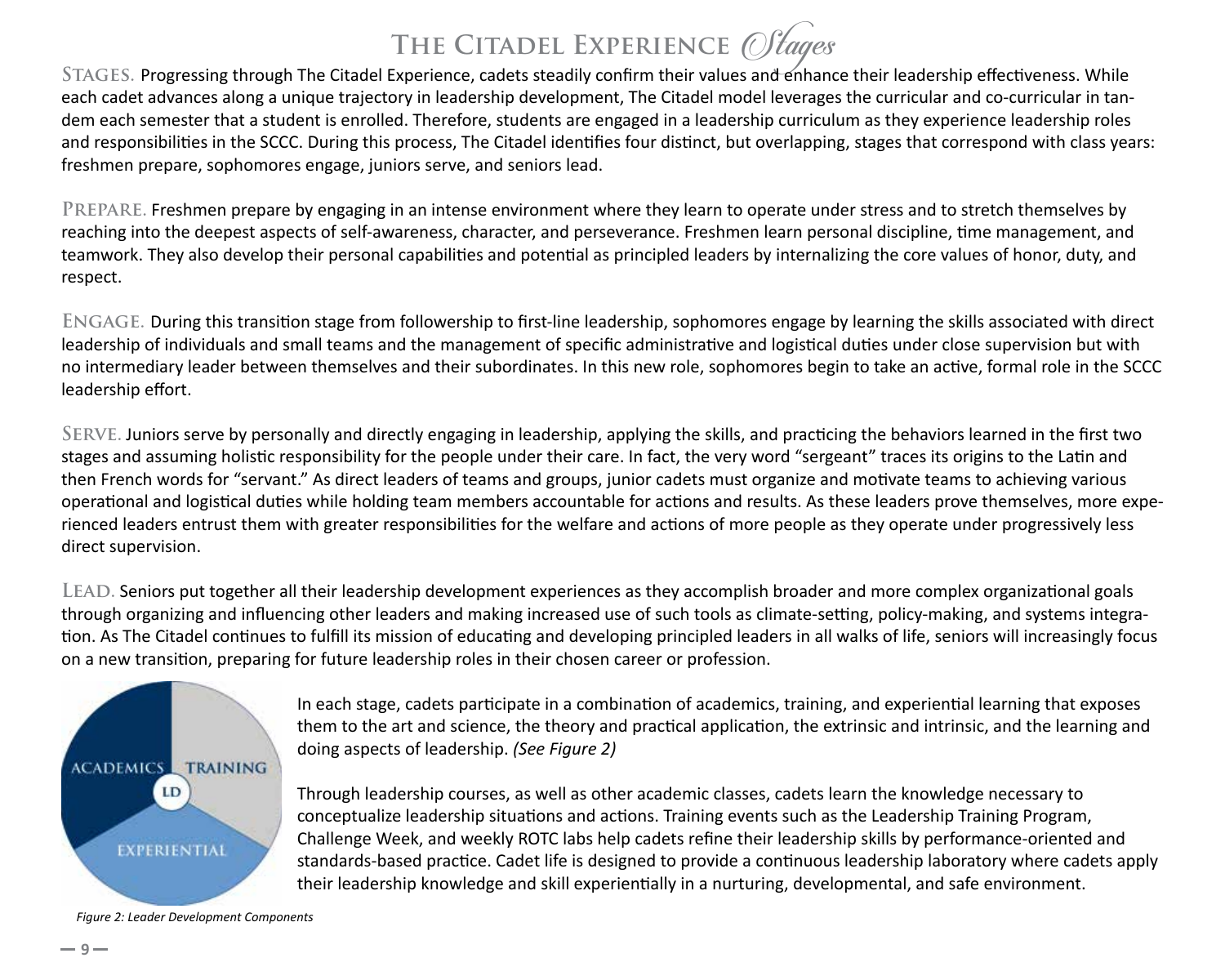**THE CITADEL EXPERIENCE** *Of tages*<br>STAGES. Progressing through The Citadel Experience, cadets steadily confirm their values and enhance their leadership effectiveness. While each cadet advances along a unique trajectory in leadership development, The Citadel model leverages the curricular and co-curricular in tandem each semester that a student is enrolled. Therefore, students are engaged in a leadership curriculum as they experience leadership roles and responsibilities in the SCCC. During this process, The Citadel identifies four distinct, but overlapping, stages that correspond with class years: freshmen prepare, sophomores engage, juniors serve, and seniors lead.

**Prepare.** Freshmen prepare by engaging in an intense environment where they learn to operate under stress and to stretch themselves by reaching into the deepest aspects of self-awareness, character, and perseverance. Freshmen learn personal discipline, time management, and teamwork. They also develop their personal capabilities and potential as principled leaders by internalizing the core values of honor, duty, and respect.

**Engage.** During this transition stage from followership to first-line leadership, sophomores engage by learning the skills associated with direct leadership of individuals and small teams and the management of specific administrative and logistical duties under close supervision but with no intermediary leader between themselves and their subordinates. In this new role, sophomores begin to take an active, formal role in the SCCC leadership effort.

**Serve.** Juniors serve by personally and directly engaging in leadership, applying the skills, and practicing the behaviors learned in the first two stages and assuming holistic responsibility for the people under their care. In fact, the very word "sergeant" traces its origins to the Latin and then French words for "servant." As direct leaders of teams and groups, junior cadets must organize and motivate teams to achieving various operational and logistical duties while holding team members accountable for actions and results. As these leaders prove themselves, more expe‐ rienced leaders entrust them with greater responsibilities for the welfare and actions of more people as they operate under progressively less direct supervision.

**Lead.** Seniors put together all their leadership development experiences as they accomplish broader and more complex organizational goals through organizing and influencing other leaders and making increased use of such tools as climate-setting, policy-making, and systems integra‐ tion. As The Citadel continues to fulfill its mission of educating and developing principled leaders in all walks of life, seniors will increasingly focus on a new transition, preparing for future leadership roles in their chosen career or profession.



In each stage, cadets participate in a combination of academics, training, and experiential learning that exposes them to the art and science, the theory and practical application, the extrinsic and intrinsic, and the learning and doing aspects of leadership. *(See Figure 2)* 

Through leadership courses, as well as other academic classes, cadets learn the knowledge necessary to conceptualize leadership situations and actions. Training events such as the Leadership Training Program, Challenge Week, and weekly ROTC labs help cadets refine their leadership skills by performance-oriented and standards-based practice. Cadet life is designed to provide a continuous leadership laboratory where cadets apply their leadership knowledge and skill experientially in a nurturing, developmental, and safe environment.

*Figure 2: Leader Development Components*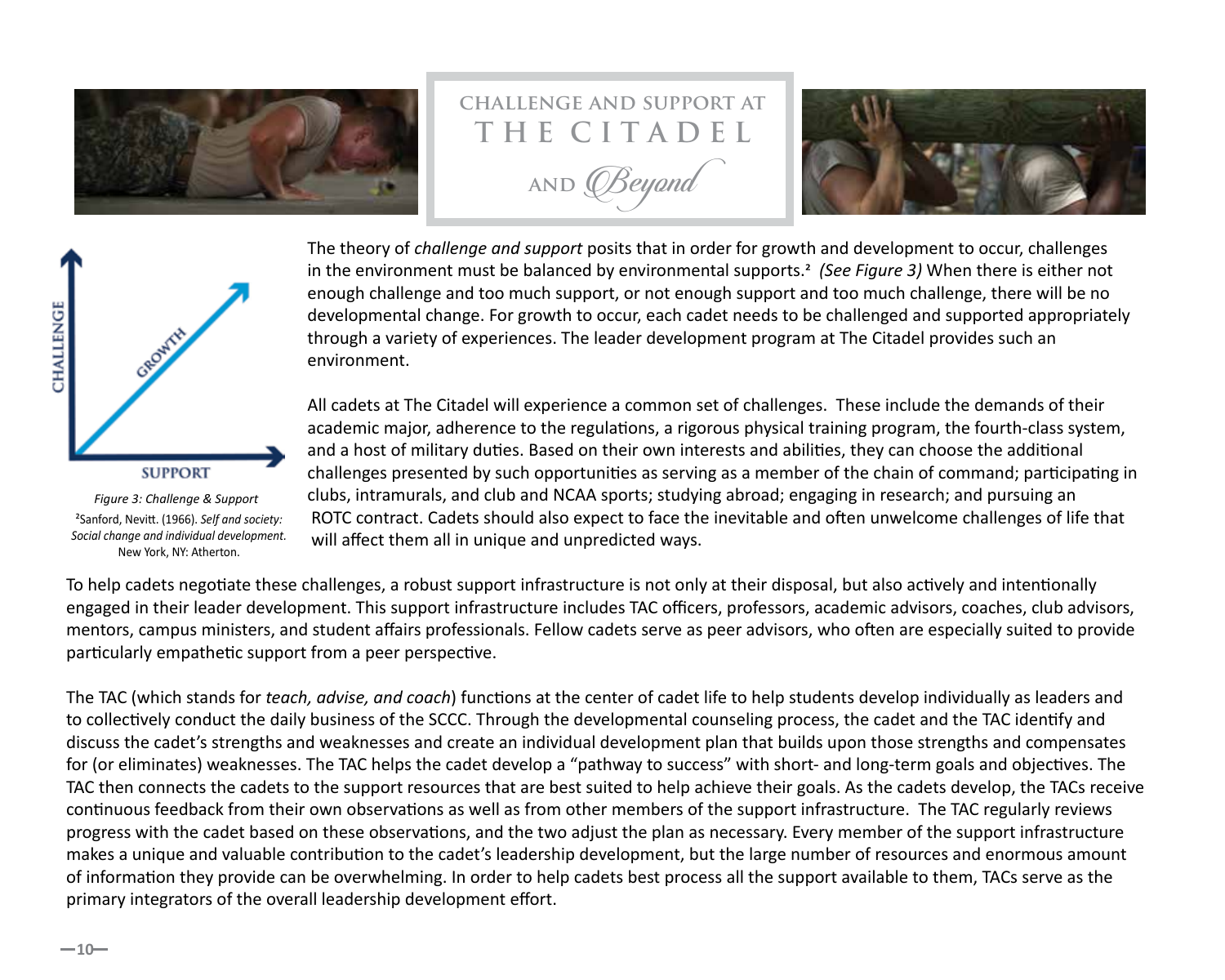

## **challenge and support at T H E C I T A D E L**

**and** *OBeyond* 





*Figure 3: Challenge & Support* 2Sanford, Nevitt. (1966). *Self and society: Social change and individual development.*  New York, NY: Atherton.

The theory of *challenge and support* posits that in order for growth and development to occur, challenges in the environment must be balanced by environmental supports.2 *(See Figure 3)* When there is either not enough challenge and too much support, or not enough support and too much challenge, there will be no developmental change. For growth to occur, each cadet needs to be challenged and supported appropriately through a variety of experiences. The leader development program at The Citadel provides such an environment.

All cadets at The Citadel will experience a common set of challenges. These include the demands of their academic major, adherence to the regulations, a rigorous physical training program, the fourth-class system, and a host of military duties. Based on their own interests and abilities, they can choose the additional challenges presented by such opportunities as serving as a member of the chain of command; participating in clubs, intramurals, and club and NCAA sports; studying abroad; engaging in research; and pursuing an ROTC contract. Cadets should also expect to face the inevitable and often unwelcome challenges of life that will affect them all in unique and unpredicted ways.

To help cadets negotiate these challenges, a robust support infrastructure is not only at their disposal, but also actively and intentionally engaged in their leader development. This support infrastructure includes TAC officers, professors, academic advisors, coaches, club advisors, mentors, campus ministers, and student affairs professionals. Fellow cadets serve as peer advisors, who often are especially suited to provide particularly empathetic support from a peer perspective.

The TAC (which stands for *teach, advise, and coach*) functions at the center of cadet life to help students develop individually as leaders and to collectively conduct the daily business of the SCCC. Through the developmental counseling process, the cadet and the TAC identify and discuss the cadet's strengths and weaknesses and create an individual development plan that builds upon those strengths and compensates for (or eliminates) weaknesses. The TAC helps the cadet develop a "pathway to success" with short- and long-term goals and objectives. The TAC then connects the cadets to the support resources that are best suited to help achieve their goals. As the cadets develop, the TACs receive continuous feedback from their own observations as well as from other members of the support infrastructure. The TAC regularly reviews progress with the cadet based on these observations, and the two adjust the plan as necessary. Every member of the support infrastructure makes a unique and valuable contribution to the cadet's leadership development, but the large number of resources and enormous amount of information they provide can be overwhelming. In order to help cadets best process all the support available to them, TACs serve as the primary integrators of the overall leadership development effort.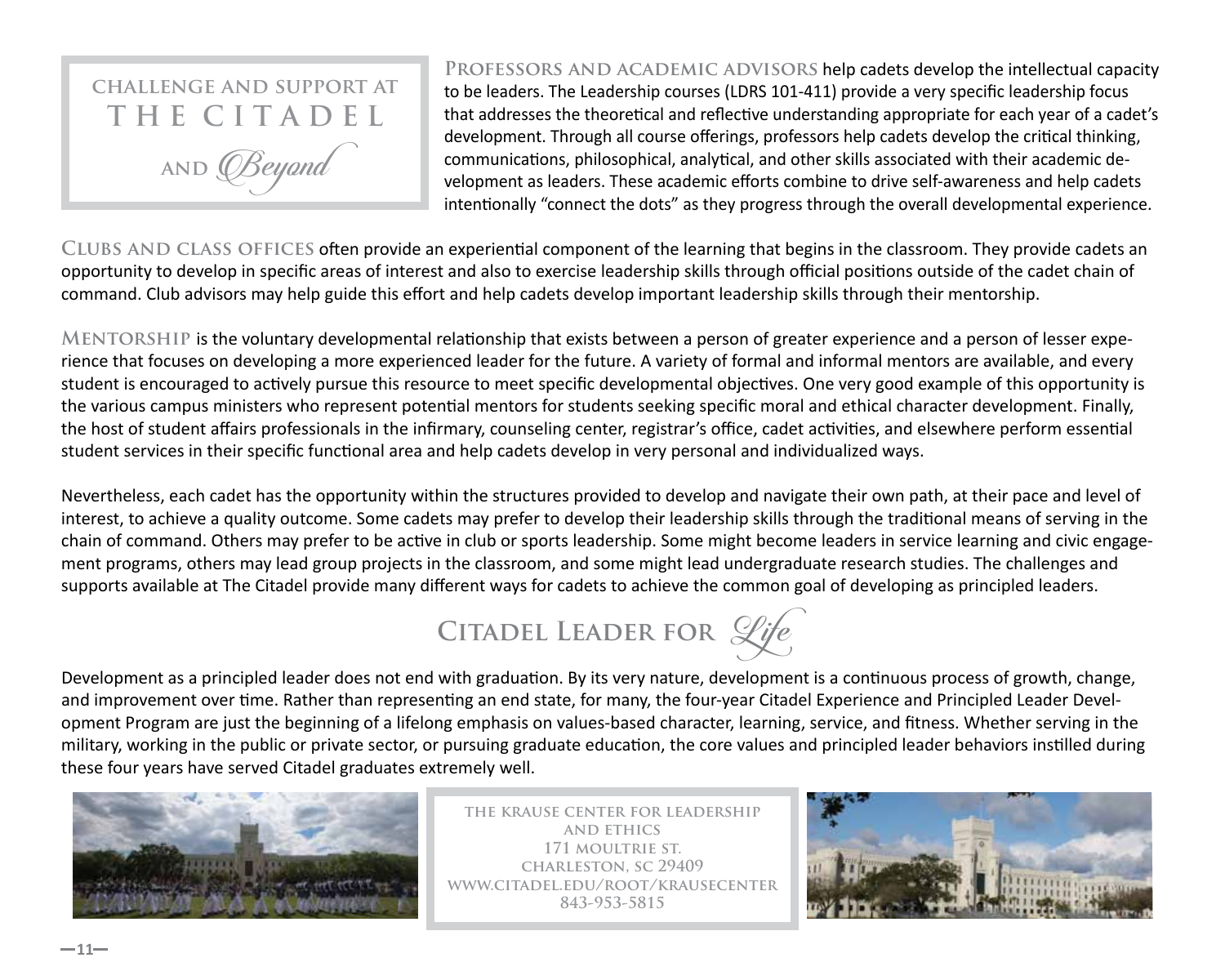

**Professors and academic advisors** help cadets develop the intellectual capacity to be leaders. The Leadership courses (LDRS 101-411) provide a very specific leadership focus that addresses the theoretical and reflective understanding appropriate for each year of a cadet's development. Through all course offerings, professors help cadets develop the critical thinking, communications, philosophical, analytical, and other skills associated with their academic de‐ velopment as leaders. These academic efforts combine to drive self-awareness and help cadets intentionally "connect the dots" as they progress through the overall developmental experience.

**Clubs and class offices** often provide an experiential component of the learning that begins in the classroom. They provide cadets an opportunity to develop in specific areas of interest and also to exercise leadership skills through official positions outside of the cadet chain of command. Club advisors may help guide this effort and help cadets develop important leadership skills through their mentorship.

**Mentorship** is the voluntary developmental relationship that exists between a person of greater experience and a person of lesser expe‐ rience that focuses on developing a more experienced leader for the future. A variety of formal and informal mentors are available, and every student is encouraged to actively pursue this resource to meet specific developmental objectives. One very good example of this opportunity is the various campus ministers who represent potential mentors for students seeking specific moral and ethical character development. Finally, the host of student affairs professionals in the infirmary, counseling center, registrar's office, cadet activities, and elsewhere perform essential student services in their specific functional area and help cadets develop in very personal and individualized ways.

Nevertheless, each cadet has the opportunity within the structures provided to develop and navigate their own path, at their pace and level of interest, to achieve a quality outcome. Some cadets may prefer to develop their leadership skills through the traditional means of serving in the chain of command. Others may prefer to be active in club or sports leadership. Some might become leaders in service learning and civic engage‐ ment programs, others may lead group projects in the classroom, and some might lead undergraduate research studies. The challenges and supports available at The Citadel provide many different ways for cadets to achieve the common goal of developing as principled leaders.



Development as a principled leader does not end with graduation. By its very nature, development is a continuous process of growth, change, and improvement over time. Rather than representing an end state, for many, the four-year Citadel Experience and Principled Leader Development Program are just the beginning of a lifelong emphasis on values-based character, learning, service, and fitness. Whether serving in the military, working in the public or private sector, or pursuing graduate education, the core values and principled leader behaviors instilled during these four years have served Citadel graduates extremely well.



**the krause center for leadership and ethics 171 moultrie st. charleston, sc 29409 www.citadel.edu/root/krausecenter 843-953-5815**